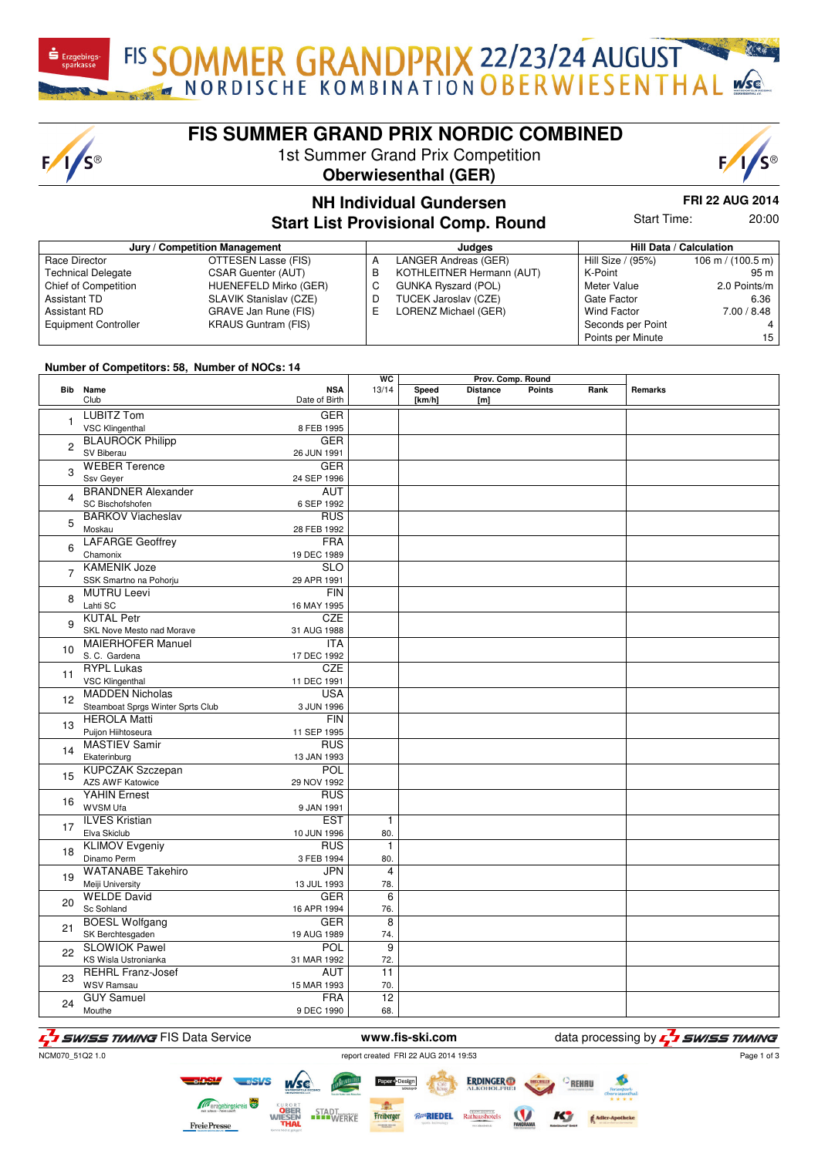FIS SOMMER GRANDPRIX 22/23/24 AUGUST

### **FIS SUMMER GRAND PRIX NORDIC COMBINED**

1st Summer Grand Prix Competition





## **NH Individual Gundersen**

**FRI 22 AUG 2014**

**Start List Provisional Comp. Round**

Start Time: 20:00

| Jury / Competition Management |                            |   | Judaes                     |                    | Hill Data / Calculation |  |
|-------------------------------|----------------------------|---|----------------------------|--------------------|-------------------------|--|
| Race Director                 | OTTESEN Lasse (FIS)        |   | LANGER Andreas (GER)       | Hill Size / (95%)  | 106 m / $(100.5 m)$     |  |
| <b>Technical Delegate</b>     | CSAR Guenter (AUT)         | В | KOTHLEITNER Hermann (AUT)  | K-Point            | 95 m                    |  |
| Chief of Competition          | HUENEFELD Mirko (GER)      | C | <b>GUNKA Ryszard (POL)</b> | Meter Value        | 2.0 Points/m            |  |
| Assistant TD                  | SLAVIK Stanislav (CZE)     | D | TUCEK Jaroslav (CZE)       | Gate Factor        | 6.36                    |  |
| Assistant RD                  | GRAVE Jan Rune (FIS)       | ᄇ | LORENZ Michael (GER)       | <b>Wind Factor</b> | 7.00 / 8.48             |  |
| <b>Equipment Controller</b>   | <b>KRAUS Guntram (FIS)</b> |   |                            | Seconds per Point  |                         |  |
|                               |                            |   |                            | Points per Minute  | 15                      |  |

#### **Number of Competitors: 58, Number of NOCs: 14**

 $F/I/S^{\circledcirc}$ 

|                |                                                             |                             | WC                    | Prov. Comp. Round |                        |               |      |         |
|----------------|-------------------------------------------------------------|-----------------------------|-----------------------|-------------------|------------------------|---------------|------|---------|
|                | Bib Name<br>Club                                            | <b>NSA</b><br>Date of Birth | 13/14                 | Speed<br>[km/h]   | <b>Distance</b><br>[m] | <b>Points</b> | Rank | Remarks |
| 1              | <b>LUBITZ Tom</b><br><b>VSC Klingenthal</b>                 | <b>GER</b><br>8 FEB 1995    |                       |                   |                        |               |      |         |
| 2              | <b>BLAUROCK Philipp</b><br>SV Biberau                       | <b>GER</b><br>26 JUN 1991   |                       |                   |                        |               |      |         |
| 3              | <b>WEBER Terence</b><br>Ssv Geyer                           | <b>GER</b><br>24 SEP 1996   |                       |                   |                        |               |      |         |
| 4              | <b>BRANDNER Alexander</b><br>SC Bischofshofen               | <b>AUT</b><br>6 SEP 1992    |                       |                   |                        |               |      |         |
| 5              | <b>BARKOV Viacheslav</b><br>Moskau                          | <b>RUS</b><br>28 FEB 1992   |                       |                   |                        |               |      |         |
| 6              | <b>LAFARGE Geoffrey</b><br>Chamonix                         | <b>FRA</b><br>19 DEC 1989   |                       |                   |                        |               |      |         |
| $\overline{7}$ | <b>KAMENIK Joze</b><br>SSK Smartno na Pohorju               | <b>SLO</b><br>29 APR 1991   |                       |                   |                        |               |      |         |
| 8              | <b>MUTRU Leevi</b><br>Lahti SC                              | FIN<br>16 MAY 1995          |                       |                   |                        |               |      |         |
| 9              | <b>KUTAL Petr</b><br>SKL Nove Mesto nad Morave              | <b>CZE</b><br>31 AUG 1988   |                       |                   |                        |               |      |         |
| 10             | <b>MAIERHOFER Manuel</b><br>S.C. Gardena                    | <b>ITA</b><br>17 DEC 1992   |                       |                   |                        |               |      |         |
| 11             | <b>RYPL Lukas</b><br><b>VSC Klingenthal</b>                 | CZE<br>11 DEC 1991          |                       |                   |                        |               |      |         |
| 12             | <b>MADDEN Nicholas</b><br>Steamboat Sprgs Winter Sprts Club | <b>USA</b><br>3 JUN 1996    |                       |                   |                        |               |      |         |
| 13             | <b>HEROLA Matti</b><br>Puijon Hiihtoseura                   | <b>FIN</b><br>11 SEP 1995   |                       |                   |                        |               |      |         |
| 14             | <b>MASTIEV Samir</b><br>Ekaterinburg                        | <b>RUS</b><br>13 JAN 1993   |                       |                   |                        |               |      |         |
| 15             | <b>KUPCZAK Szczepan</b><br><b>AZS AWF Katowice</b>          | POL<br>29 NOV 1992          |                       |                   |                        |               |      |         |
| 16             | <b>YAHIN Ernest</b><br>WVSM Ufa                             | <b>RUS</b><br>9 JAN 1991    |                       |                   |                        |               |      |         |
| 17             | <b>ILVES Kristian</b><br>Elva Skiclub                       | <b>EST</b><br>10 JUN 1996   | 1<br>80.              |                   |                        |               |      |         |
| 18             | <b>KLIMOV Evgeniy</b><br>Dinamo Perm                        | <b>RUS</b><br>3 FEB 1994    | $\mathbf{1}$<br>80.   |                   |                        |               |      |         |
| 19             | <b>WATANABE Takehiro</b><br>Meiji University                | <b>JPN</b><br>13 JUL 1993   | $\overline{4}$<br>78. |                   |                        |               |      |         |
| 20             | <b>WELDE David</b><br>Sc Sohland                            | <b>GER</b><br>16 APR 1994   | 6<br>76.              |                   |                        |               |      |         |
| 21             | <b>BOESL Wolfgang</b><br>SK Berchtesgaden                   | <b>GER</b><br>19 AUG 1989   | 8<br>74.              |                   |                        |               |      |         |
| 22             | <b>SLOWIOK Pawel</b><br>KS Wisla Ustronianka                | POL<br>31 MAR 1992          | $\overline{9}$<br>72. |                   |                        |               |      |         |
| 23             | <b>REHRL Franz-Josef</b><br><b>WSV Ramsau</b>               | <b>AUT</b><br>15 MAR 1993   | 11<br>70.             |                   |                        |               |      |         |
| 24             | <b>GUY Samuel</b><br>Mouthe                                 | <b>FRA</b><br>9 DEC 1990    | 12<br>68.             |                   |                        |               |      |         |

F<sub>1</sub> SWISS TIMING FIS Data Service **www.fis-ski.com** data processing by F<sub>1</sub> SWISS TIMING

Page 1 of 3

NCM070\_51Q2 1.0

**ERDINGER** Freiberger STADT<br>WERKE *Ro*RIEDEL **FreiePresse** 

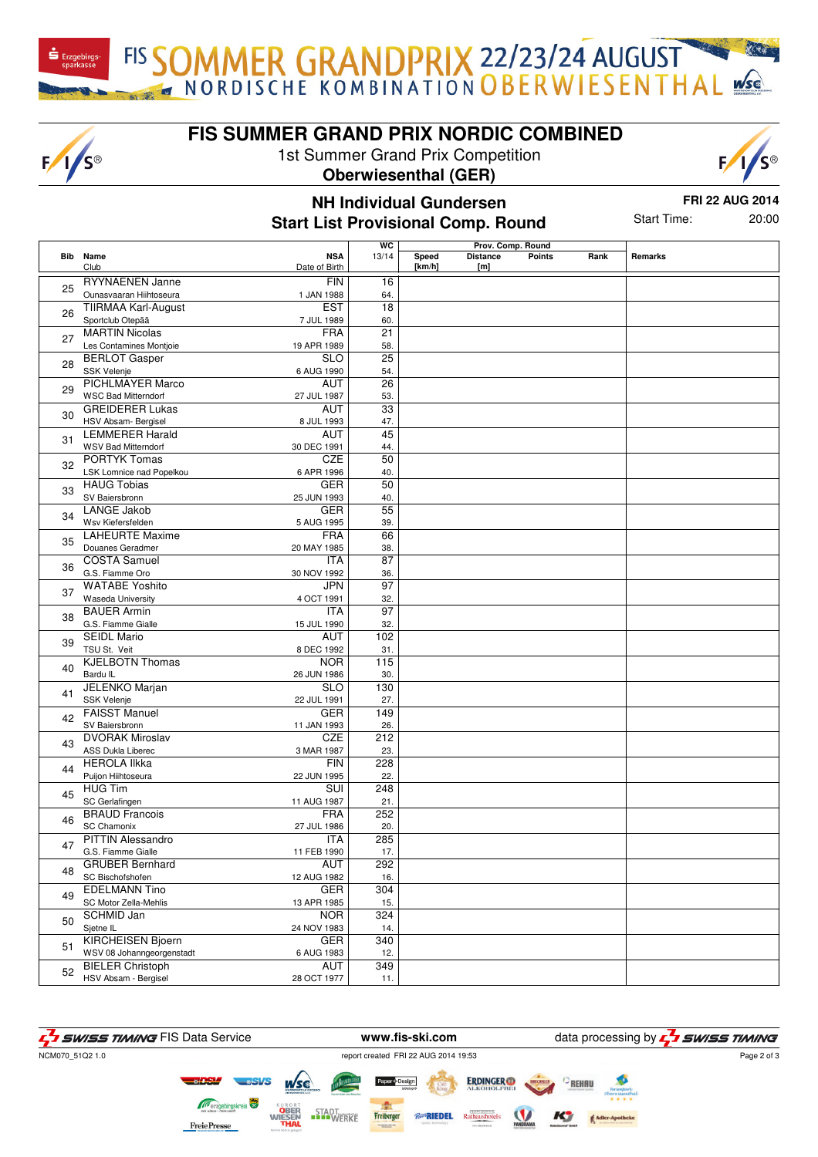FIS SOMMER GRANDPRIX 22/23/24 AUGUST

#### **FIS SUMMER GRAND PRIX NORDIC COMBINED**

1st Summer Grand Prix Competition

 $F/I/S^{\circledcirc}$ 





#### **NH Individual Gundersen Start List Provisional Comp. Round**

**FRI 22 AUG 2014** Start Time: 20:00

|    | <b>Bib</b> Name                                 | <b>NSA</b>                | $\overline{wc}$<br>13/14 | Speed  | Prov. Comp. Round<br><b>Distance</b> | <b>Points</b> | Rank | Remarks |
|----|-------------------------------------------------|---------------------------|--------------------------|--------|--------------------------------------|---------------|------|---------|
|    | Club                                            | Date of Birth             |                          | [km/h] | [m]                                  |               |      |         |
|    | <b>RYYNAENEN Janne</b>                          | <b>FIN</b>                | 16                       |        |                                      |               |      |         |
| 25 | Ounasvaaran Hiihtoseura                         | 1 JAN 1988                | 64.                      |        |                                      |               |      |         |
| 26 | <b>TIIRMAA Karl-August</b>                      | <b>EST</b>                | 18                       |        |                                      |               |      |         |
|    | Sportclub Otepää                                | 7 JUL 1989                | 60.                      |        |                                      |               |      |         |
| 27 | <b>MARTIN Nicolas</b>                           | <b>FRA</b>                | 21                       |        |                                      |               |      |         |
|    | Les Contamines Montjoie                         | 19 APR 1989               | 58.                      |        |                                      |               |      |         |
| 28 | <b>BERLOT Gasper</b>                            | <b>SLO</b>                | $\overline{25}$          |        |                                      |               |      |         |
|    | SSK Velenje                                     | 6 AUG 1990                | 54.                      |        |                                      |               |      |         |
| 29 | <b>PICHLMAYER Marco</b>                         | AUT                       | 26                       |        |                                      |               |      |         |
|    | <b>WSC Bad Mitterndorf</b>                      | 27 JUL 1987               | 53.                      |        |                                      |               |      |         |
| 30 | <b>GREIDERER Lukas</b>                          | AUT                       | $\overline{33}$          |        |                                      |               |      |         |
|    | HSV Absam- Bergisel<br><b>LEMMERER Harald</b>   | 8 JUL 1993<br>AUT         | 47.<br>45                |        |                                      |               |      |         |
| 31 | <b>WSV Bad Mitterndorf</b>                      | 30 DEC 1991               | 44.                      |        |                                      |               |      |         |
|    | <b>PORTYK Tomas</b>                             | <b>CZE</b>                | 50                       |        |                                      |               |      |         |
| 32 | LSK Lomnice nad Popelkou                        | 6 APR 1996                | 40.                      |        |                                      |               |      |         |
|    | <b>HAUG Tobias</b>                              | <b>GER</b>                | 50                       |        |                                      |               |      |         |
| 33 | SV Baiersbronn                                  | 25 JUN 1993               | 40.                      |        |                                      |               |      |         |
|    | <b>LANGE Jakob</b>                              | <b>GER</b>                | 55                       |        |                                      |               |      |         |
| 34 | Wsv Kiefersfelden                               | 5 AUG 1995                | 39.                      |        |                                      |               |      |         |
|    | <b>LAHEURTE Maxime</b>                          | <b>FRA</b>                | 66                       |        |                                      |               |      |         |
| 35 | Douanes Geradmer                                | 20 MAY 1985               | 38.                      |        |                                      |               |      |         |
| 36 | <b>COSTA Samuel</b>                             | ITA                       | 87                       |        |                                      |               |      |         |
|    | G.S. Fiamme Oro                                 | 30 NOV 1992               | 36.                      |        |                                      |               |      |         |
| 37 | <b>WATABE Yoshito</b>                           | <b>JPN</b>                | $\overline{97}$          |        |                                      |               |      |         |
|    | <b>Waseda University</b>                        | 4 OCT 1991                | 32.                      |        |                                      |               |      |         |
| 38 | <b>BAUER Armin</b>                              | <b>ITA</b>                | $\overline{97}$          |        |                                      |               |      |         |
|    | G.S. Fiamme Gialle                              | 15 JUL 1990               | 32.                      |        |                                      |               |      |         |
| 39 | <b>SEIDL Mario</b>                              | AUT                       | 102                      |        |                                      |               |      |         |
|    | TSU St. Veit                                    | 8 DEC 1992                | 31.                      |        |                                      |               |      |         |
| 40 | <b>KJELBOTN Thomas</b>                          | <b>NOR</b>                | 115                      |        |                                      |               |      |         |
|    | Bardu IL                                        | 26 JUN 1986<br><b>SLO</b> | 30.<br>130               |        |                                      |               |      |         |
| 41 | JELENKO Marjan<br>SSK Velenje                   | 22 JUL 1991               | 27.                      |        |                                      |               |      |         |
|    | <b>FAISST Manuel</b>                            | <b>GER</b>                | 149                      |        |                                      |               |      |         |
| 42 | SV Baiersbronn                                  | 11 JAN 1993               | 26.                      |        |                                      |               |      |         |
|    | <b>DVORAK Miroslav</b>                          | <b>CZE</b>                | 212                      |        |                                      |               |      |         |
| 43 | ASS Dukla Liberec                               | 3 MAR 1987                | 23.                      |        |                                      |               |      |         |
|    | <b>HEROLA IIkka</b>                             | <b>FIN</b>                | 228                      |        |                                      |               |      |         |
| 44 | Puijon Hiihtoseura                              | 22 JUN 1995               | 22.                      |        |                                      |               |      |         |
|    | <b>HUG Tim</b>                                  | SUI                       | 248                      |        |                                      |               |      |         |
| 45 | SC Gerlafingen                                  | 11 AUG 1987               | 21.                      |        |                                      |               |      |         |
|    | <b>BRAUD Francois</b>                           | <b>FRA</b>                | 252                      |        |                                      |               |      |         |
| 46 | <b>SC Chamonix</b>                              | 27 JUL 1986               | 20.                      |        |                                      |               |      |         |
| 47 | <b>PITTIN Alessandro</b>                        | <b>ITA</b>                | 285                      |        |                                      |               |      |         |
|    | G.S. Fiamme Gialle                              | 11 FEB 1990               | 17.                      |        |                                      |               |      |         |
| 48 | <b>GRUBER Bernhard</b>                          | AUT                       | 292                      |        |                                      |               |      |         |
|    | SC Bischofshofen                                | 12 AUG 1982               | 16.                      |        |                                      |               |      |         |
| 49 | <b>EDELMANN Tino</b>                            | <b>GER</b>                | 304                      |        |                                      |               |      |         |
|    | SC Motor Zella-Mehlis                           | 13 APR 1985               | 15.                      |        |                                      |               |      |         |
| 50 | <b>SCHMID Jan</b>                               | <b>NOR</b>                | 324                      |        |                                      |               |      |         |
|    | Sjetne IL                                       | 24 NOV 1983               | 14.                      |        |                                      |               |      |         |
| 51 | <b>KIRCHEISEN Bjoern</b>                        | GER                       | 340                      |        |                                      |               |      |         |
|    | WSV 08 Johanngeorgenstadt                       | 6 AUG 1983                | 12.                      |        |                                      |               |      |         |
| 52 | <b>BIELER Christoph</b><br>HSV Absam - Bergisel | <b>AUT</b><br>28 OCT 1977 | 349                      |        |                                      |               |      |         |
|    |                                                 |                           | 11.                      |        |                                      |               |      |         |